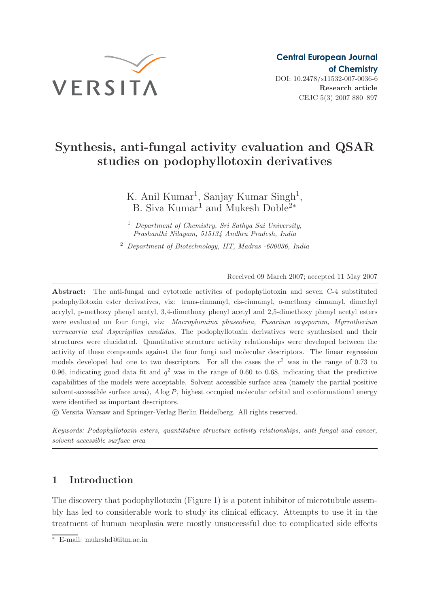

# **Synthesis, anti-fungal activity evaluation and QSAR studies on podophyllotoxin derivatives**

K. Anil Kumar<sup>1</sup>, Sanjay Kumar Singh<sup>1</sup>, B. Siva Kumar<sup>1</sup> and Mukesh Doble<sup>2</sup><sup>∗</sup>

<sup>1</sup> *Department of Chemistry, Sri Sathya Sai University, Prashanthi Nilayam, 515134 Andhra Pradesh, India*

<sup>2</sup> *Department of Biotechnology, IIT, Madras -600036, India*

Received 09 March 2007; accepted 11 May 2007

**Abstract:** The anti-fungal and cytotoxic activites of podophyllotoxin and seven C-4 substituted podophyllotoxin ester derivatives, viz: trans-cinnamyl, cis-cinnamyl, o-methoxy cinnamyl, dimethyl acrylyl, p-methoxy phenyl acetyl, 3,4-dimethoxy phenyl acetyl and 2,5-dimethoxy phenyl acetyl esters were evaluated on four fungi, viz: *Macrophomina phaseolina, Fusarium oxysporum, Myrrothecium verrucarria and Asperigillus candidus,* The podophyllotoxin derivatives were synthesised and their structures were elucidated. Quantitative structure activity relationships were developed between the activity of these compounds against the four fungi and molecular descriptors. The linear regression models developed had one to two descriptors. For all the cases the  $r^2$  was in the range of 0.73 to 0.96, indicating good data fit and  $q^2$  was in the range of 0.60 to 0.68, indicating that the predictive capabilities of the models were acceptable. Solvent accessible surface area (namely the partial positive solvent-accessible surface area), *A* log *P*, highest occupied molecular orbital and conformational energy were identified as important descriptors.

c Versita Warsaw and Springer-Verlag Berlin Heidelberg. All rights reserved.

*Keywords: Podophyllotoxin esters, quantitative structure activity relationships, anti fungal and cancer, solvent accessible surface area*

# **1 Introduction**

The discovery that podophyllotoxin (Figure [1\)](#page-1-0) is a potent inhibitor of microtubule assembly has led to considerable work to study its clinical efficacy. Attempts to use it in the treatment of human neoplasia were mostly unsuccessful due to complicated side effects

<sup>∗</sup> E-mail: mukeshd@iitm.ac.in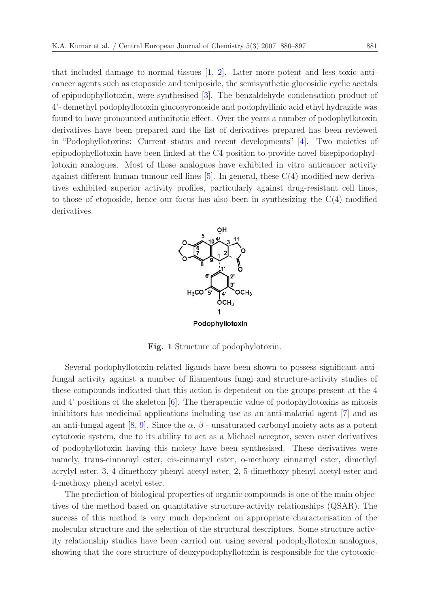that included damage to normal tissues [\[1,](#page-15-0) [2\]](#page-15-1). Later more potent and less toxic anticancer agents such as etoposide and teniposide, the semisynthetic glucosidic cyclic acetals of epipodophyllotoxin, were synthesised [\[3\]](#page-15-2). The benzaldehyde condensation product of 4'- demethyl podophyllotoxin glucopyronoside and podophyllinic acid ethyl hydrazide was found to have pronounced antimitotic effect. Over the years a number of podophyllotoxin derivatives have been prepared and the list of derivatives prepared has been reviewed in "Podophyllotoxins: Current status and recent developments" [\[4\]](#page-15-3). Two moieties of epipodophyllotoxin have been linked at the C4-position to provide novel bisepipodophyllotoxin analogues. Most of these analogues have exhibited in vitro anticancer activity against different human tumour cell lines  $[5]$  $[5]$ . In general, these  $C(4)$ -modified new derivatives exhibited superior activity profiles, particularly against drug-resistant cell lines, to those of etoposide, hence our focus has also been in synthesizing the C(4) modified derivatives.

<span id="page-1-0"></span>

**Fig. 1** Structure of podophylotoxin.

Several podophyllotoxin-related ligands have been shown to possess significant antifungal activity against a number of filamentous fungi and structure-activity studies of these compounds indicated that this action is dependent on the groups present at the 4 and 4' positions of the skeleton [\[6\]](#page-15-5). The therapeutic value of podophyllotoxins as mitosis inhibitors has medicinal applications including use as an anti-malarial agent [\[7\]](#page-15-6) and as an anti-fungal agent [\[8,](#page-15-7) [9](#page-16-0)]. Since the  $\alpha$ ,  $\beta$  - unsaturated carbonyl moiety acts as a potent cytotoxic system, due to its ability to act as a Michael acceptor, seven ester derivatives of podophyllotoxin having this moiety have been synthesised. These derivatives were namely, trans-cinnamyl ester, cis-cinnamyl ester, o-methoxy cinnamyl ester, dimethyl acrylyl ester, 3, 4-dimethoxy phenyl acetyl ester, 2, 5-dimethoxy phenyl acetyl ester and 4-methoxy phenyl acetyl ester.

The prediction of biological properties of organic compounds is one of the main objectives of the method based on quantitative structure-activity relationships (QSAR). The success of this method is very much dependent on appropriate characterisation of the molecular structure and the selection of the structural descriptors. Some structure activity relationship studies have been carried out using several podophyllotoxin analogues, showing that the core structure of deoxypodophyllotoxin is responsible for the cytotoxic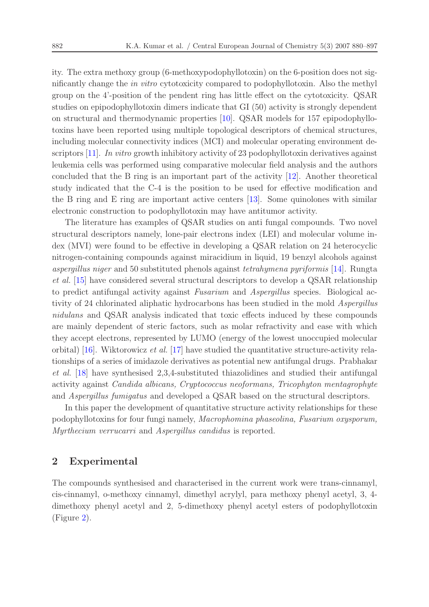ity. The extra methoxy group (6-methoxypodophyllotoxin) on the 6-position does not significantly change the *in vitro* cytotoxicity compared to podophyllotoxin. Also the methyl group on the 4'-position of the pendent ring has little effect on the cytotoxicity. QSAR studies on epipodophyllotoxin dimers indicate that GI (50) activity is strongly dependent on structural and thermodynamic properties [\[10\]](#page-16-1). QSAR models for 157 epipodophyllotoxins have been reported using multiple topological descriptors of chemical structures, including molecular connectivity indices (MCI) and molecular operating environment descriptors [\[11](#page-16-2)]. *In vitro* growth inhibitory activity of 23 podophyllotoxin derivatives against leukemia cells was performed using comparative molecular field analysis and the authors concluded that the B ring is an important part of the activity [\[12\]](#page-16-3). Another theoretical study indicated that the C-4 is the position to be used for effective modification and the B ring and E ring are important active centers [\[13](#page-16-4)]. Some quinolones with similar electronic construction to podophyllotoxin may have antitumor activity.

The literature has examples of QSAR studies on anti fungal compounds. Two novel structural descriptors namely, lone-pair electrons index (LEI) and molecular volume index (MVI) were found to be effective in developing a QSAR relation on 24 heterocyclic nitrogen-containing compounds against miracidium in liquid, 19 benzyl alcohols against *aspergillus niger* and 50 substituted phenols against *tetrahymena pyriformis* [\[14](#page-16-5)]. Rungta *et al.* [\[15\]](#page-16-6) have considered several structural descriptors to develop a QSAR relationship to predict antifungal activity against *Fusarium* and *Aspergillus* species. Biological activity of 24 chlorinated aliphatic hydrocarbons has been studied in the mold *Aspergillus nidulans* and QSAR analysis indicated that toxic effects induced by these compounds are mainly dependent of steric factors, such as molar refractivity and ease with which they accept electrons, represented by LUMO (energy of the lowest unoccupied molecular orbital) [\[16\]](#page-16-7). Wiktorowicz *et al.* [\[17\]](#page-16-8) have studied the quantitative structure-activity relationships of a series of imidazole derivatives as potential new antifungal drugs. Prabhakar *et al.* [\[18](#page-16-9)] have synthesised 2,3,4-substituted thiazolidines and studied their antifungal activity against *Candida albicans, Cryptococcus neoformans, Tricophyton mentagrophyte* and *Aspergillus fumigatus* and developed a QSAR based on the structural descriptors.

In this paper the development of quantitative structure activity relationships for these podophyllotoxins for four fungi namely, *Macrophomina phaseolina, Fusarium oxysporum, Myrthecium verrucarri* and *Aspergillus candidus* is reported.

# **2 Experimental**

The compounds synthesised and characterised in the current work were trans-cinnamyl, cis-cinnamyl, o-methoxy cinnamyl, dimethyl acrylyl, para methoxy phenyl acetyl, 3, 4 dimethoxy phenyl acetyl and 2, 5-dimethoxy phenyl acetyl esters of podophyllotoxin (Figure [2\)](#page-3-0).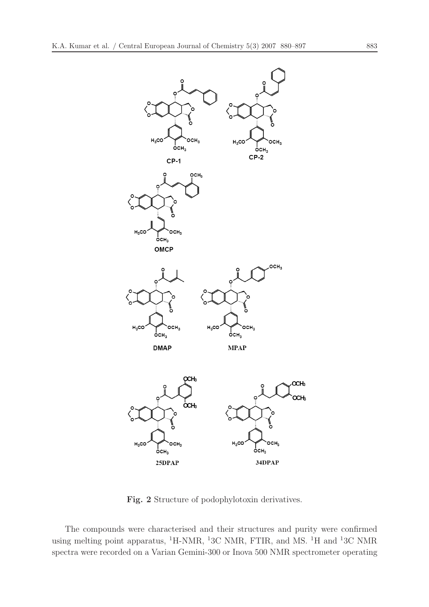<span id="page-3-0"></span>

**Fig. 2** Structure of podophylotoxin derivatives.

The compounds were characterised and their structures and purity were confirmed using melting point apparatus, <sup>1</sup>H-NMR, <sup>1</sup>3C NMR, FTIR, and MS. <sup>1</sup>H and <sup>1</sup>3C NMR spectra were recorded on a Varian Gemini-300 or Inova 500 NMR spectrometer operating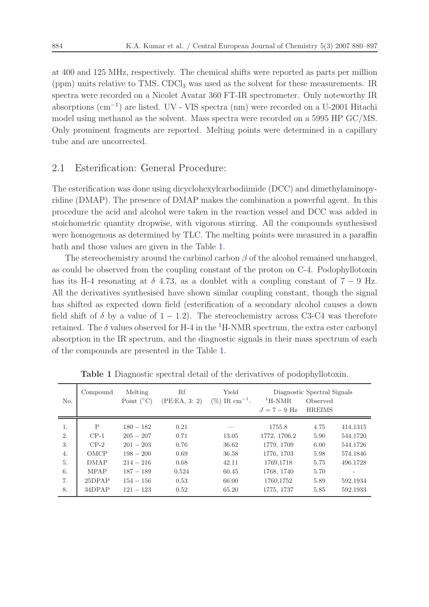at 400 and 125 MHz, respectively. The chemical shifts were reported as parts per million (ppm) units relative to TMS. CDCl<sup>3</sup> was used as the solvent for these measurements. IR spectra were recorded on a Nicolet Avatar 360 FT-IR spectrometer. Only noteworthy IR absorptions (cm−<sup>1</sup>) are listed. UV - VIS spectra (nm) were recorded on a U-2001 Hitachi model using methanol as the solvent. Mass spectra were recorded on a 5995 HP GC/MS. Only prominent fragments are reported. Melting points were determined in a capillary tube and are uncorrected.

# 2.1 Esterification: General Procedure:

The esterification was done using dicyclohexylcarbodiimide (DCC) and dimethylaminopyridine (DMAP). The presence of DMAP makes the combination a powerful agent. In this procedure the acid and alcohol were taken in the reaction vessel and DCC was added in stoichometric quantity dropwise, with vigorous stirring. All the compounds synthesised were homogenous as determined by TLC. The melting points were measured in a paraffin bath and those values are given in the Table [1.](#page-4-0)

The stereochemistry around the carbinol carbon  $\beta$  of the alcohol remained unchanged, as could be observed from the coupling constant of the proton on C-4. Podophyllotoxin has its H-4 resonating at  $\delta$  4.73, as a doublet with a coupling constant of 7 − 9 Hz. All the derivatives synthesised have shown similar coupling constant, though the signal has shifted as expected down field (esterification of a secondary alcohol causes a down field shift of  $\delta$  by a value of 1 − 1.2). The stereochemistry across C3-C4 was therefore retained. The  $\delta$  values observed for H-4 in the <sup>1</sup>H-NMR spectrum, the extra ester carbonyl absorption in the IR spectrum, and the diagnostic signals in their mass spectrum of each of the compounds are presented in the Table [1.](#page-4-0)

| No.              | Compound    | Melting<br>Point $(^{\circ}C)$ | Rf<br>(PE:EA, 3: 2) | Yield<br>$(\%)$ IR cm <sup>-1</sup> . | $\rm ^1H\text{-}NMR$<br>$J = 7 - 9$ Hz | Diagnostic Spectral Signals<br>Observed<br><b>HREIMS</b> |          |
|------------------|-------------|--------------------------------|---------------------|---------------------------------------|----------------------------------------|----------------------------------------------------------|----------|
| 1.               | P           | $180 - 182$                    | 0.21                |                                       | 1755.8                                 | 4.75                                                     | 414.1315 |
| 2.               | $CP-1$      | $205 - 207$                    | 0.71                | 13.05                                 | 1772, 1706.2                           | 5.90                                                     | 544.1720 |
| 3.               | $CP-2$      | $201 - 203$                    | 0.76                | 36.62                                 | 1779, 1709                             | 6.00                                                     | 544.1726 |
| $\overline{4}$ . | <b>OMCP</b> | $198 - 200$                    | 0.69                | 36.58                                 | 1776, 1703                             | 5.98                                                     | 574.1846 |
| 5.               | DMAP        | $214 - 216$                    | 0.68                | 42.11                                 | 1769,1718                              | 5.75                                                     | 496.1728 |
| 6.               | <b>MPAP</b> | $187 - 189$                    | 0.524               | 60.45                                 | 1768, 1740                             | 5.70                                                     |          |
| 7.               | 25DPAP      | $154 - 156$                    | 0.53                | 66.00                                 | 1760,1752                              | 5.89                                                     | 592.1934 |
| 8.               | 34DPAP      | $121 - 123$                    | 0.52                | 65.20                                 | 1775, 1737                             | 5.85                                                     | 592.1933 |

<span id="page-4-0"></span>**Table 1** Diagnostic spectral detail of the derivatives of podophyllotoxin.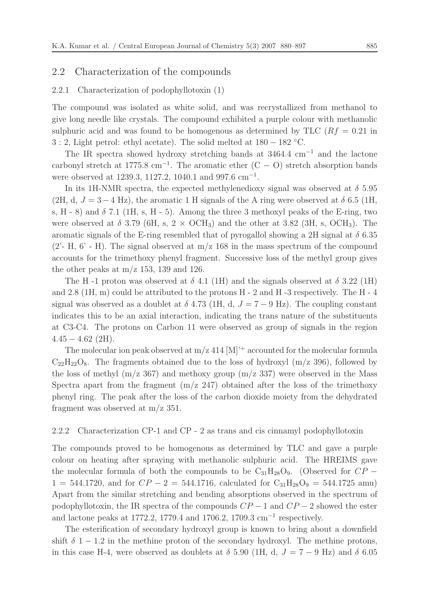### 2.2 Characterization of the compounds

#### 2.2.1 Characterization of podophyllotoxin (1)

The compound was isolated as white solid, and was recrystallized from methanol to give long needle like crystals. The compound exhibited a purple colour with methanolic sulphuric acid and was found to be homogenous as determined by TLC  $(Rf = 0.21$  in 3 : 2, Light petrol: ethyl acetate). The solid melted at 180 − 182 ◦C.

The IR spectra showed hydroxy stretching bands at  $3464.4 \text{ cm}^{-1}$  and the lactone carbonyl stretch at 1775.8 cm<sup>-1</sup>. The aromatic ether  $(C - O)$  stretch absorption bands were observed at 1239.3, 1127.2, 1040.1 and 997.6 cm−<sup>1</sup>.

In its 1H-NMR spectra, the expected methylenedioxy signal was observed at  $\delta$  5.95 (2H, d,  $J = 3-4$  Hz), the aromatic 1 H signals of the A ring were observed at  $\delta$  6.5 (1H, s, H - 8) and  $\delta$  7.1 (1H, s, H - 5). Among the three 3 methoxyl peaks of the E-ring, two were observed at  $\delta$  3.79 (6H, s, 2  $\times$  OCH<sub>3</sub>) and the other at 3.82 (3H, s, OCH<sub>3</sub>). The aromatic signals of the E-ring resembled that of pyrogallol showing a 2H signal at  $\delta$  6.35  $(2^{\degree}$ - H, 6' - H). The signal observed at m/z 168 in the mass spectrum of the compound accounts for the trimethoxy phenyl fragment. Successive loss of the methyl group gives the other peaks at  $m/z$  153, 139 and 126.

The H -1 proton was observed at  $\delta$  4.1 (1H) and the signals observed at  $\delta$  3.22 (1H) and 2.8 (1H, m) could be attributed to the protons H - 2 and H -3 respectively. The H - 4 signal was observed as a doublet at  $\delta$  4.73 (1H, d,  $J = 7 - 9$  Hz). The coupling constant indicates this to be an axial interaction, indicating the trans nature of the substituents at C3-C4. The protons on Carbon 11 were observed as group of signals in the region  $4.45 - 4.62$  (2H).

The molecular ion peak observed at  $m/z$  414  $[M]$ <sup>++</sup> accounted for the molecular formula  $C_{22}H_{22}O_8$ . The fragments obtained due to the loss of hydroxyl (m/z 396), followed by the loss of methyl  $(m/z 367)$  and methoxy group  $(m/z 337)$  were observed in the Mass Spectra apart from the fragment  $(m/z 247)$  obtained after the loss of the trimethoxy phenyl ring. The peak after the loss of the carbon dioxide moiety from the dehydrated fragment was observed at m/z 351.

#### 2.2.2 Characterization CP-1 and CP - 2 as trans and cis cinnamyl podophyllotoxin

The compounds proved to be homogenous as determined by TLC and gave a purple colour on heating after spraying with methanolic sulphuric acid. The HREIMS gave the molecular formula of both the compounds to be  $C_{31}H_{28}O_9$ . (Observed for  $CP 1 = 544.1720$ , and for  $CP - 2 = 544.1716$ , calculated for  $C_{31}H_{28}O_9 = 544.1725$  amu) Apart from the similar stretching and bending absorptions observed in the spectrum of podophyllotoxin, the IR spectra of the compounds  $CP-1$  and  $CP-2$  showed the ester and lactone peaks at 1772.2, 1779.4 and 1706.2, 1709.3 cm−<sup>1</sup> respectively.

The esterification of secondary hydroxyl group is known to bring about a downfield shift  $\delta$  1 − 1.2 in the methine proton of the secondary hydroxyl. The methine protons, in this case H-4, were observed as doublets at  $\delta$  5.90 (1H, d,  $J = 7 - 9$  Hz) and  $\delta$  6.05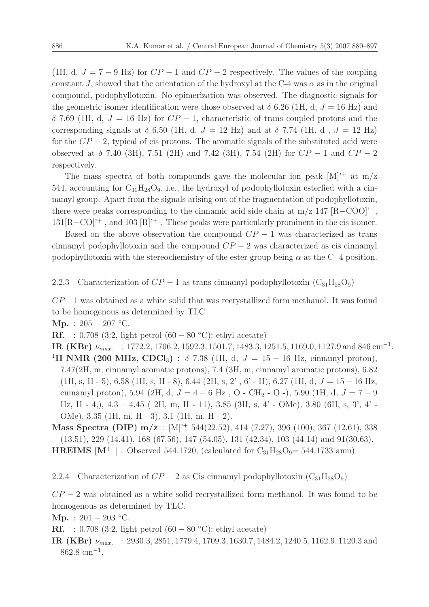(1H, d,  $J = 7 - 9$  Hz) for  $CP - 1$  and  $CP - 2$  respectively. The values of the coupling constant J, showed that the orientation of the hydroxyl at the C-4 was  $\alpha$  as in the original compound, podophyllotoxin. No epimerization was observed. The diagnostic signals for the geometric isomer identification were those observed at  $\delta$  6.26 (1H, d, J = 16 Hz) and  $\delta$  7.69 (1H, d,  $J = 16$  Hz) for  $CP - 1$ , characteristic of trans coupled protons and the corresponding signals at  $\delta$  6.50 (1H, d,  $J = 12$  Hz) and at  $\delta$  7.74 (1H, d,  $J = 12$  Hz) for the  $CP-2$ , typical of cis protons. The aromatic signals of the substituted acid were observed at  $\delta$  7.40 (3H), 7.51 (2H) and 7.42 (3H), 7.54 (2H) for  $CP-1$  and  $CP-2$ respectively.

The mass spectra of both compounds gave the molecular ion peak  $[M]$ <sup>++</sup> at m/z 544, accounting for  $C_{31}H_{28}O_9$ , i.e., the hydroxyl of podophyllotoxin esterfied with a cinnamyl group. Apart from the signals arising out of the fragmentation of podophyllotoxin, there were peaks corresponding to the cinnamic acid side chain at  $m/z$  147  $[R-COO]$ <sup>++</sup>,  $131[R-CO]$ <sup>++</sup>, and  $103[R]$ <sup>++</sup>. These peaks were particularly prominent in the cis isomer.

Based on the above observation the compound  $CP-1$  was characterized as trans cinnamyl podophyllotoxin and the compound  $CP - 2$  was characterized as cis cinnamyl podophyllotoxin with the stereochemistry of the ester group being  $\alpha$  at the C-4 position.

2.2.3 Characterization of  $CP - 1$  as trans cinnamyl podophyllotoxin  $(C_{31}H_{28}O_9)$ 

 $CP-1$  was obtained as a white solid that was recrystallized form methanol. It was found to be homogenous as determined by TLC.

**Mp.** :  $205 - 207$  °C.

**Rf.** : 0.708 (3:2, light petrol  $(60 - 80 °C)$ : ethyl acetate)

**IR (KBr)** ν*max.* : 1772.2, 1706.2, 1592.3, 1501.7, 1483.3, 1251.5, 1169.0, 1127.9 and 846 cm−<sup>1</sup>. <sup>1</sup>H NMR (200 MHz, CDCl<sub>3</sub>) :  $\delta$  7.38 (1H, d,  $J = 15 - 16$  Hz, cinnamyl proton), 7.47(2H, m, cinnamyl aromatic protons), 7.4 (3H, m, cinnamyl aromatic protons), 6.82 (1H, s, H - 5), 6.58 (1H, s, H - 8), 6.44 (2H, s, 2', 6' - H), 6.27 (1H, d,  $J = 15 - 16$  Hz, cinnamyl proton), 5.94 (2H, d,  $J = 4 - 6$  Hz, O - CH<sub>2</sub> - O -), 5.90 (1H, d,  $J = 7 - 9$ ) Hz, H - 4,), 4.3 − 4.45 ( 2H, m, H - 11), 3.85 (3H, s, 4' - OMe), 3.80 (6H, s, 3', 4' - OMe), 3.35 (1H, m, H - 3), 3.1 (1H, m, H - 2).

**Mass Spectra (DIP) m/z** : [M]'<sup>+</sup> 544(22.52), 414 (7.27), 396 (100), 367 (12.61), 338 (13.51), 229 (14.41), 168 (67.56), 147 (54.05), 131 (42.34), 103 (44.14) and 91(30.63). **HREIMS**  $[M^+ \,]$ : Observed 544.1720, (calculated for  $C_{31}H_{28}O_9 = 544.1733$  amu)

2.2.4 Characterization of  $CP - 2$  as Cis cinnamyl podophyllotoxin  $(C_{31}H_{28}O_9)$ 

 $CP - 2$  was obtained as a white solid recrystallized form methanol. It was found to be homogenous as determined by TLC.

**Mp.** : 201 − 203 ◦C.

**Rf.** : 0.708 (3:2, light petrol  $(60 - 80 °C)$ : ethyl acetate)

**IR (KBr)** ν*max.* : 2930.3, 2851, 1779.4, 1709.3, 1630.7, 1484.2, 1240.5, 1162.9, 1120.3 and 862.8 cm−<sup>1</sup>.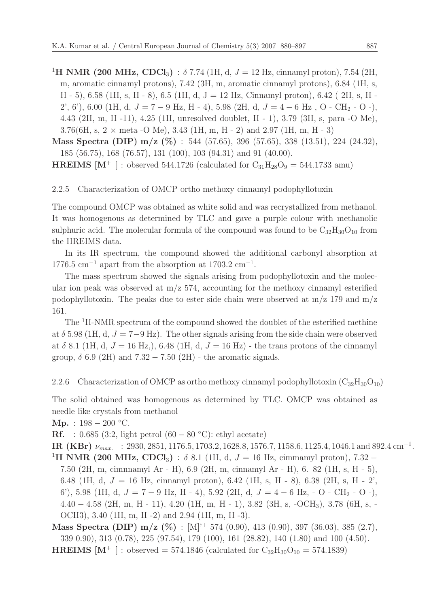<sup>1</sup>**H** NMR (200 MHz, CDCl<sub>3</sub>) :  $\delta$  7.74 (1H, d,  $J = 12$  Hz, cinnamyl proton), 7.54 (2H, m, aromatic cinnamyl protons), 7.42 (3H, m, aromatic cinnamyl protons), 6.84 (1H, s, H - 5), 6.58 (1H, s, H - 8), 6.5 (1H, d, J = 12 Hz, Cinnamyl proton), 6.42 (2H, s, H -2', 6'), 6.00 (1H, d,  $J = 7 - 9$  Hz, H - 4), 5.98 (2H, d,  $J = 4 - 6$  Hz, O - CH<sub>2</sub> - O -), 4.43 (2H, m, H -11), 4.25 (1H, unresolved doublet, H - 1), 3.79 (3H, s, para -O Me), 3.76(6H, s,  $2 \times$  meta -O Me), 3.43 (1H, m, H - 2) and 2.97 (1H, m, H - 3)

**Mass Spectra (DIP) m/z (%)** : 544 (57.65), 396 (57.65), 338 (13.51), 224 (24.32), 185 (56.75), 168 (76.57), 131 (100), 103 (94.31) and 91 (40.00).

**HREIMS**  $[M^+$  : observed 544.1726 (calculated for  $C_{31}H_{28}O_9 = 544.1733$  amu)

#### 2.2.5 Characterization of OMCP ortho methoxy cinnamyl podophyllotoxin

The compound OMCP was obtained as white solid and was recrystallized from methanol. It was homogenous as determined by TLC and gave a purple colour with methanolic sulphuric acid. The molecular formula of the compound was found to be  $C_{32}H_{30}O_{10}$  from the HREIMS data.

In its IR spectrum, the compound showed the additional carbonyl absorption at  $1776.5$  cm<sup>-1</sup> apart from the absorption at  $1703.2$  cm<sup>-1</sup>.

The mass spectrum showed the signals arising from podophyllotoxin and the molecular ion peak was observed at  $m/z$  574, accounting for the methoxy cinnamyl esterified podophyllotoxin. The peaks due to ester side chain were observed at  $m/z$  179 and  $m/z$ 161.

The <sup>1</sup>H-NMR spectrum of the compound showed the doublet of the esterified methine at  $\delta$  5.98 (1H, d,  $J = 7-9$  Hz). The other signals arising from the side chain were observed at  $\delta$  8.1 (1H, d,  $J = 16$  Hz), 6.48 (1H, d,  $J = 16$  Hz) - the trans protons of the cinnamyl group,  $\delta$  6.9 (2H) and 7.32 – 7.50 (2H) - the aromatic signals.

2.2.6 Characterization of OMCP as ortho methoxy cinnamyl podophyllotoxin  $(C_{32}H_{30}O_{10})$ 

The solid obtained was homogenous as determined by TLC. OMCP was obtained as needle like crystals from methanol

**Mp.** :  $198 - 200 °C$ .

**Rf.** : 0.685 (3:2, light petrol (60 − 80 °C): ethyl acetate)

**IR (KBr)**  $\nu_{max}$  : 2930, 2851, 1176.5, 1703.2, 1628.8, 1576.7, 1158.6, 1125.4, 1046.1 and 892.4 cm<sup>-1</sup>. <sup>1</sup>H NMR (200 MHz, CDCl<sub>3</sub>) :  $\delta$  8.1 (1H, d,  $J = 16$  Hz, cimmamyl proton), 7.32 −

- 7.50 (2H, m, cimnnamyl Ar H), 6.9 (2H, m, cinnamyl Ar H), 6. 82 (1H, s, H 5), 6.48 (1H, d,  $J = 16$  Hz, cinnamyl proton), 6.42 (1H, s, H - 8), 6.38 (2H, s, H - 2', 6'), 5.98 (1H, d,  $J = 7 - 9$  Hz, H - 4), 5.92 (2H, d,  $J = 4 - 6$  Hz, - O - CH<sub>2</sub> - O -), 4.40 − 4.58 (2H, m, H - 11), 4.20 (1H, m, H - 1), 3.82 (3H, s, -OCH3), 3.78 (6H, s, - OCH3), 3.40 (1H, m, H -2) and 2.94 (1H, m, H -3).
- **Mass Spectra (DIP) m/z (%)** : [M]'<sup>+</sup> 574 (0.90), 413 (0.90), 397 (36.03), 385 (2.7), 339 0.90), 313 (0.78), 225 (97.54), 179 (100), 161 (28.82), 140 (1.80) and 100 (4.50). **HREIMS**  $[M^+$  : observed = 574.1846 (calculated for  $C_{32}H_{30}O_{10} = 574.1839$ )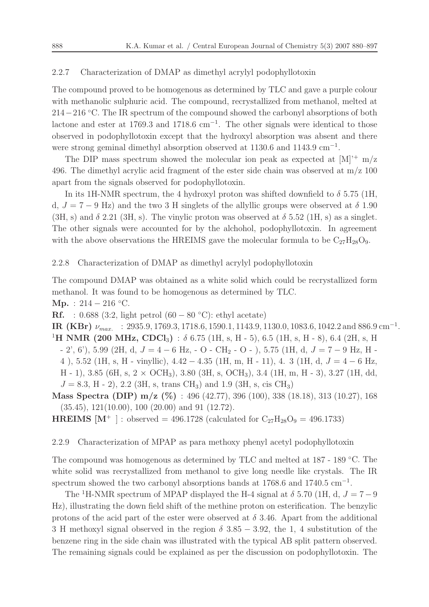### 2.2.7 Characterization of DMAP as dimethyl acrylyl podophyllotoxin

The compound proved to be homogenous as determined by TLC and gave a purple colour with methanolic sulphuric acid. The compound, recrystallized from methanol, melted at 214−216 ◦C. The IR spectrum of the compound showed the carbonyl absorptions of both lactone and ester at 1769.3 and 1718.6 cm−<sup>1</sup>. The other signals were identical to those observed in podophyllotoxin except that the hydroxyl absorption was absent and there were strong geminal dimethyl absorption observed at 1130.6 and 1143.9 cm<sup>-1</sup>.

The DIP mass spectrum showed the molecular ion peak as expected at  $[M]^{\dagger +}$  m/z 496. The dimethyl acrylic acid fragment of the ester side chain was observed at m/z 100 apart from the signals observed for podophyllotoxin.

In its 1H-NMR spectrum, the 4 hydroxyl proton was shifted downfield to  $\delta$  5.75 (1H, d,  $J = 7 - 9$  Hz) and the two 3 H singlets of the allyllic groups were observed at  $\delta$  1.90 (3H, s) and  $\delta$  2.21 (3H, s). The vinylic proton was observed at  $\delta$  5.52 (1H, s) as a singlet. The other signals were accounted for by the alchohol, podophyllotoxin. In agreement with the above observations the HREIMS gave the molecular formula to be  $C_{27}H_{28}O_9$ .

#### 2.2.8 Characterization of DMAP as dimethyl acrylyl podophyllotoxin

The compound DMAP was obtained as a white solid which could be recrystallized form methanol. It was found to be homogenous as determined by TLC. **Mp.** :  $214 - 216 °C$ . **Rf.** : 0.688 (3:2, light petrol  $(60 - 80 °C)$ : ethyl acetate) **IR (KBr)** ν*max.* : 2935.9, 1769.3, 1718.6, 1590.1, 1143.9, 1130.0, 1083.6, 1042.2 and 886.9 cm−<sup>1</sup>. <sup>1</sup>**H** NMR (200 MHz, CDCl<sub>3</sub>) : δ 6.75 (1H, s, H - 5), 6.5 (1H, s, H - 8), 6.4 (2H, s, H  $-$  2', 6'), 5.99 (2H, d,  $J = 4 - 6$  Hz,  $-$  O  $-$  CH<sub>2</sub>  $-$  O  $-$  ), 5.75 (1H, d,  $J = 7 - 9$  Hz, H  $-$ 4 ), 5.52 (1H, s, H - vinyllic),  $4.42 - 4.35$  (1H, m, H - 11), 4. 3 (1H, d,  $J = 4 - 6$  Hz, H - 1), 3.85 (6H, s,  $2 \times \text{OCH}_3$ ), 3.80 (3H, s, OCH<sub>3</sub>), 3.4 (1H, m, H - 3), 3.27 (1H, dd,  $J = 8.3$ , H - 2), 2.2 (3H, s, trans CH<sub>3</sub>) and 1.9 (3H, s, cis CH<sub>3</sub>)

**Mass Spectra (DIP) m/z (%)** : 496 (42.77), 396 (100), 338 (18.18), 313 (10.27), 168 (35.45), 121(10.00), 100 (20.00) and 91 (12.72).

**HREIMS**  $[M^+]$ : observed = 496.1728 (calculated for  $C_{27}H_{28}O_9 = 496.1733$ )

#### 2.2.9 Characterization of MPAP as para methoxy phenyl acetyl podophyllotoxin

The compound was homogenous as determined by TLC and melted at  $187 - 189$  °C. The white solid was recrystallized from methanol to give long needle like crystals. The IR spectrum showed the two carbonyl absorptions bands at  $1768.6$  and  $1740.5$  cm<sup>-1</sup>.

The <sup>1</sup>H-NMR spectrum of MPAP displayed the H-4 signal at  $\delta$  5.70 (1H, d,  $J = 7-9$ ) Hz), illustrating the down field shift of the methine proton on esterification. The benzylic protons of the acid part of the ester were observed at  $\delta$  3.46. Apart from the additional 3 H methoxyl signal observed in the region  $\delta$  3.85 − 3.92, the 1, 4 substitution of the benzene ring in the side chain was illustrated with the typical AB split pattern observed. The remaining signals could be explained as per the discussion on podophyllotoxin. The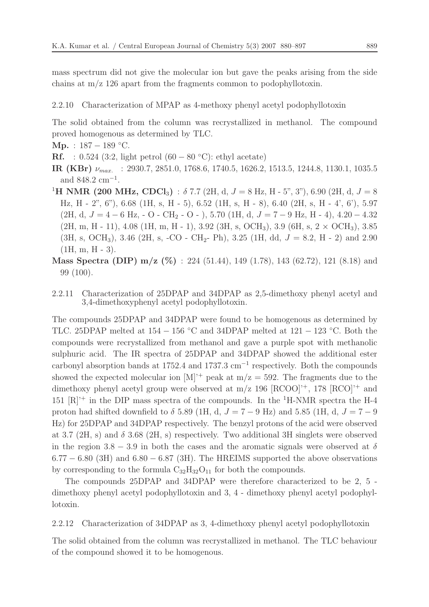mass spectrum did not give the molecular ion but gave the peaks arising from the side chains at m/z 126 apart from the fragments common to podophyllotoxin.

#### 2.2.10 Characterization of MPAP as 4-methoxy phenyl acetyl podophyllotoxin

The solid obtained from the column was recrystallized in methanol. The compound proved homogenous as determined by TLC.

- **Mp.** : 187 − 189 ◦C.
- **Rf.** : 0.524 (3:2, light petrol  $(60 80 °C)$ : ethyl acetate)
- **IR (KBr)** ν*max.* : 2930.7, 2851.0, 1768.6, 1740.5, 1626.2, 1513.5, 1244.8, 1130.1, 1035.5 and 848.2 cm−<sup>1</sup>.
- <sup>1</sup>**H** NMR (200 MHz, CDCl<sub>3</sub>) :  $\delta$  7.7 (2H, d,  $J = 8$  Hz, H 5", 3"), 6.90 (2H, d,  $J = 8$ Hz, H - 2", 6"), 6.68 (1H, s, H - 5), 6.52 (1H, s, H - 8), 6.40 (2H, s, H - 4', 6'), 5.97 (2H, d,  $J = 4 - 6$  Hz, - O - CH<sub>2</sub> - O - ), 5.70 (1H, d,  $J = 7 - 9$  Hz, H - 4), 4.20 - 4.32  $(2H, m, H - 11), 4.08$  (1H, m, H - 1), 3.92 (3H, s, OCH<sub>3</sub>), 3.9 (6H, s, 2  $\times$  OCH<sub>3</sub>), 3.85  $(3H, s, OCH<sub>3</sub>)$ , 3.46 (2H, s, -CO - CH<sub>2</sub>- Ph), 3.25 (1H, dd,  $J = 8.2$ , H - 2) and 2.90  $(1H, m, H - 3).$
- **Mass Spectra (DIP) m/z (%)** : 224 (51.44), 149 (1.78), 143 (62.72), 121 (8.18) and 99 (100).
- 2.2.11 Characterization of 25DPAP and 34DPAP as 2,5-dimethoxy phenyl acetyl and 3,4-dimethoxyphenyl acetyl podophyllotoxin.

The compounds 25DPAP and 34DPAP were found to be homogenous as determined by TLC. 25DPAP melted at  $154 - 156$  °C and 34DPAP melted at  $121 - 123$  °C. Both the compounds were recrystallized from methanol and gave a purple spot with methanolic sulphuric acid. The IR spectra of 25DPAP and 34DPAP showed the additional ester carbonyl absorption bands at 1752.4 and 1737.3 cm−<sup>1</sup> respectively. Both the compounds showed the expected molecular ion  $[M]$ <sup>++</sup> peak at m/z = 592. The fragments due to the dimethoxy phenyl acetyl group were observed at  $m/z$  196  $[RCOO]$ <sup> $+$ </sup>, 178  $[RCO]$ <sup> $+$ </sup> and 151  $[R]^+$  in the DIP mass spectra of the compounds. In the <sup>1</sup>H-NMR spectra the H-4 proton had shifted downfield to  $\delta$  5.89 (1H, d,  $J = 7 - 9$  Hz) and 5.85 (1H, d,  $J = 7 - 9$ Hz) for 25DPAP and 34DPAP respectively. The benzyl protons of the acid were observed at 3.7 (2H, s) and  $\delta$  3.68 (2H, s) respectively. Two additional 3H singlets were observed in the region 3.8 − 3.9 in both the cases and the aromatic signals were observed at  $\delta$  $6.77 - 6.80$  (3H) and  $6.80 - 6.87$  (3H). The HREIMS supported the above observations by corresponding to the formula  $C_{32}H_{32}O_{11}$  for both the compounds.

The compounds 25DPAP and 34DPAP were therefore characterized to be 2, 5 dimethoxy phenyl acetyl podophyllotoxin and 3, 4 - dimethoxy phenyl acetyl podophyllotoxin.

2.2.12 Characterization of 34DPAP as 3, 4-dimethoxy phenyl acetyl podophyllotoxin

The solid obtained from the column was recrystallized in methanol. The TLC behaviour of the compound showed it to be homogenous.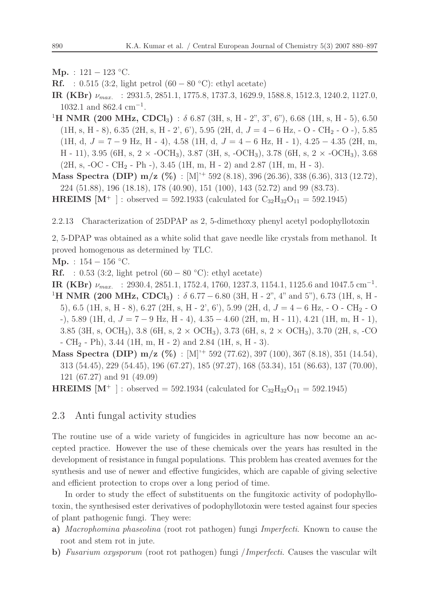**Mp.** :  $121 - 123$  °C.

- **Rf.** : 0.515 (3:2, light petrol  $(60 80 °C)$ : ethyl acetate)
- **IR (KBr)** ν*max.* : 2931.5, 2851.1, 1775.8, 1737.3, 1629.9, 1588.8, 1512.3, 1240.2, 1127.0,  $1032.1$  and  $862.4$  cm<sup>-1</sup>.
- <sup>1</sup>H NMR (200 MHz, CDCl<sub>3</sub>) :  $\delta$  6.87 (3H, s, H 2", 3", 6"), 6.68 (1H, s, H 5), 6.50 (1H, s, H - 8), 6.35 (2H, s, H - 2', 6'), 5.95 (2H, d,  $J = 4 - 6$  Hz, - O - CH<sub>2</sub> - O -), 5.85 (1H, d,  $J = 7 - 9$  Hz, H - 4), 4.58 (1H, d,  $J = 4 - 6$  Hz, H - 1), 4.25  $- 4.35$  (2H, m, H - 11), 3.95 (6H, s, 2  $\times$  -OCH<sub>3</sub>), 3.87 (3H, s, -OCH<sub>3</sub>), 3.78 (6H, s, 2  $\times$  -OCH<sub>3</sub>), 3.68  $(2H, s, -OC - CH_2 - Ph -), 3.45$  (1H, m, H - 2) and 2.87 (1H, m, H - 3).
- **Mass Spectra (DIP) m/z (%)** : [M]'<sup>+</sup> 592 (8.18), 396 (26.36), 338 (6.36), 313 (12.72), 224 (51.88), 196 (18.18), 178 (40.90), 151 (100), 143 (52.72) and 99 (83.73).

**HREIMS**  $[M^+]$ : observed = 592.1933 (calculated for  $C_{32}H_{32}O_{11} = 592.1945$ )

2.2.13 Characterization of 25DPAP as 2, 5-dimethoxy phenyl acetyl podophyllotoxin

2, 5-DPAP was obtained as a white solid that gave needle like crystals from methanol. It proved homogenous as determined by TLC.

**Mp.** :  $154 - 156$  °C.

**Rf.** : 0.53 (3:2, light petrol  $(60 - 80 °C)$ : ethyl acetate)

- **IR (KBr)** ν*max.* : 2930.4, 2851.1, 1752.4, 1760, 1237.3, 1154.1, 1125.6 and 1047.5 cm−<sup>1</sup>. <sup>1</sup>H NMR (200 MHz, CDCl<sub>3</sub>) :  $\delta$  6.77 – 6.80 (3H, H - 2", 4" and 5"), 6.73 (1H, s, H -5), 6.5 (1H, s, H - 8), 6.27 (2H, s, H - 2', 6'), 5.99 (2H, d,  $J = 4 - 6$  Hz, - O - CH<sub>2</sub> - O  $-$ ), 5.89 (1H, d,  $J = 7 - 9$  Hz, H  $- 4$ ), 4.35  $- 4.60$  (2H, m, H  $- 11$ ), 4.21 (1H, m, H  $- 1$ ), 3.85 (3H, s, OCH<sub>3</sub>), 3.8 (6H, s, 2  $\times$  OCH<sub>3</sub>), 3.73 (6H, s, 2  $\times$  OCH<sub>3</sub>), 3.70 (2H, s, -CO  $-$  CH<sub>2</sub>  $-$  Ph), 3.44 (1H, m, H  $-$  2) and 2.84 (1H, s, H  $-$  3).
- **Mass Spectra (DIP) m/z (%)** : [M]'<sup>+</sup> 592 (77.62), 397 (100), 367 (8.18), 351 (14.54), 313 (54.45), 229 (54.45), 196 (67.27), 185 (97.27), 168 (53.34), 151 (86.63), 137 (70.00), 121 (67.27) and 91 (49.09)

**HREIMS**  $[M^+]$ : observed = 592.1934 (calculated for  $C_{32}H_{32}O_{11} = 592.1945$ )

# 2.3 Anti fungal activity studies

The routine use of a wide variety of fungicides in agriculture has now become an accepted practice. However the use of these chemicals over the years has resulted in the development of resistance in fungal populations. This problem has created avenues for the synthesis and use of newer and effective fungicides, which are capable of giving selective and efficient protection to crops over a long period of time.

In order to study the effect of substituents on the fungitoxic activity of podophyllotoxin, the synthesised ester derivatives of podophyllotoxin were tested against four species of plant pathogenic fungi. They were:

- **a)** *Macrophomina phaseolina* (root rot pathogen) fungi *Imperfecti*. Known to cause the root and stem rot in jute.
- **b)** *Fusarium oxysporum* (root rot pathogen) fungi /*Imperfecti*. Causes the vascular wilt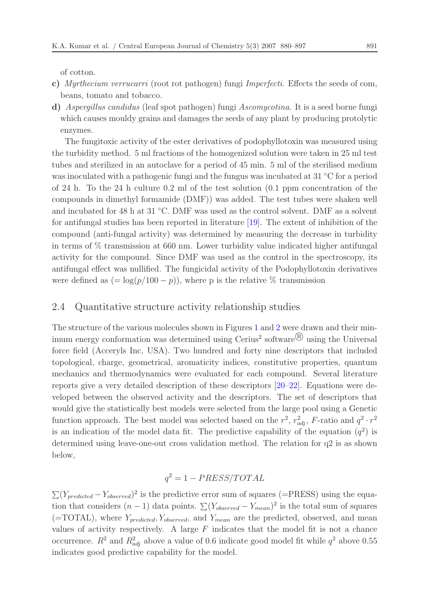of cotton.

- **c)** *Myrthecium verrucarri* (root rot pathogen) fungi *Imperfecti*. Effects the seeds of com, beans, tomato and tobacco.
- **d)** *Aspergillus candidus* (leaf spot pathogen) fungi *Ascomycotina*. It is a seed borne fungi which causes mouldy grains and damages the seeds of any plant by producing protolytic enzymes.

The fungitoxic activity of the ester derivatives of podophyllotoxin was measured using the turbidity method. 5 ml fractions of the homogenized solution were taken in 25 ml test tubes and sterilized in an autoclave for a period of 45 min. 5 ml of the sterilised medium was inoculated with a pathogenic fungi and the fungus was incubated at 31 °C for a period of 24 h. To the 24 h culture 0.2 ml of the test solution (0.1 ppm concentration of the compounds in dimethyl formamide (DMF)) was added. The test tubes were shaken well and incubated for 48 h at 31 ◦C. DMF was used as the control solvent. DMF as a solvent for antifungal studies has been reported in literature [\[19](#page-16-10)]. The extent of inhibition of the compound (anti-fungal activity) was determined by measuring the decrease in turbidity in terms of % transmission at 660 nm. Lower turbidity value indicated higher antifungal activity for the compound. Since DMF was used as the control in the spectroscopy, its antifungal effect was nullified. The fungicidal activity of the Podophyllotoxin derivatives were defined as  $(= \log(p/100 - p))$ , where p is the relative % transmission

### 2.4 Quantitative structure activity relationship studies

The structure of the various molecules shown in Figures [1](#page-1-0) and [2](#page-3-0) were drawn and their minimum energy conformation was determined using Cerius<sup>2</sup> software<sup> $R$ </sup> using the Universal force field (Acceryls Inc, USA). Two hundred and forty nine descriptors that included topological, charge, geometrical, aromaticity indices, constitutive properties, quantum mechanics and thermodynamics were evaluated for each compound. Several literature reports give a very detailed description of these descriptors [\[20](#page-16-11)[–22\]](#page-16-12). Equations were developed between the observed activity and the descriptors. The set of descriptors that would give the statistically best models were selected from the large pool using a Genetic function approach. The best model was selected based on the  $r^2$ ,  $r^2_{adj}$ , *F*-ratio and  $q^2 \cdot r^2$ is an indication of the model data fit. The predictive capability of the equation  $(q^2)$  is determined using leave-one-out cross validation method. The relation for q2 is as shown below,

$$
q^2 = 1 - PRESS/TOTAL
$$

 $\sum (Y_{predicted} - Y_{observed})^2$  is the predictive error sum of squares (=PRESS) using the equation that considers  $(n-1)$  data points.  $\sum (Y_{observed} - Y_{mean})^2$  is the total sum of squares (=TOTAL), where Y*predicted*, Y*observed*, and Y*mean* are the predicted, observed, and mean values of activity respectively. A large  $F$  indicates that the model fit is not a chance occurrence.  $R^2$  and  $R^2_{adi}$  above a value of 0.6 indicate good model fit while  $q^2$  above 0.55 indicates good predictive capability for the model.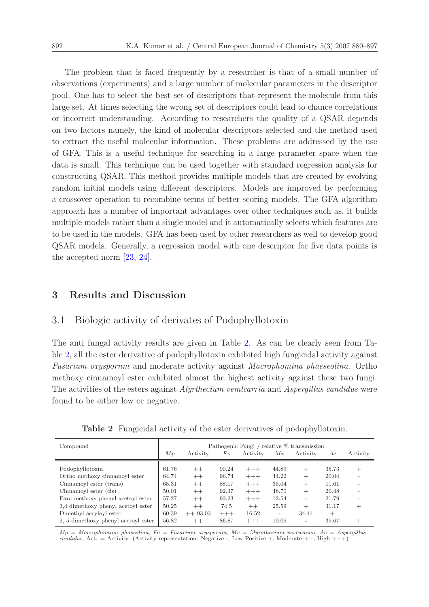The problem that is faced frequently by a researcher is that of a small number of observations (experiments) and a large number of molecular parameters in the descriptor pool. One has to select the best set of descriptors that represent the molecule from this large set. At times selecting the wrong set of descriptors could lead to chance correlations or incorrect understanding. According to researchers the quality of a QSAR depends on two factors namely, the kind of molecular descriptors selected and the method used to extract the useful molecular information. These problems are addressed by the use of GFA. This is a useful technique for searching in a large parameter space when the data is small. This technique can be used together with standard regression analysis for constructing QSAR. This method provides multiple models that are created by evolving random initial models using different descriptors. Models are improved by performing a crossover operation to recombine terms of better scoring models. The GFA algorithm approach has a number of important advantages over other techniques such as, it builds multiple models rather than a single model and it automatically selects which features are to be used in the models. GFA has been used by other researchers as well to develop good QSAR models. Generally, a regression model with one descriptor for five data points is the accepted norm [\[23,](#page-16-13) [24\]](#page-16-14).

# **3 Results and Discussion**

### 3.1 Biologic activity of derivates of Podophyllotoxin

The anti fungal activity results are given in Table [2.](#page-12-0) As can be clearly seen from Table [2,](#page-12-0) all the ester derivative of podophyllotoxin exhibited high fungicidal activity against *Fusarium oxyspornm* and moderate activity against *Macrophomina phaeseolina.* Ortho methoxy cinnamoyl ester exhibited almost the highest activity against these two fungi. The activities of the esters against *Alyrthecium vemlcarria* and *Aspergillus candidus* were found to be either low or negative.

| Compound                            | Pathogenic Fungi / relative % transmission |            |       |          |                          |                          |        |          |
|-------------------------------------|--------------------------------------------|------------|-------|----------|--------------------------|--------------------------|--------|----------|
|                                     | Mp                                         | Activity   | Fo    | Activity | Mv                       | Activity                 | Аc     | Activity |
| Podophyllotoxin                     | 61.76                                      | $++$       | 90.24 | $+++$    | 44.89                    | $^{+}$                   | 35.73  | $^{+}$   |
| Ortho methoxy cinnamovl ester       | 64.74                                      | $++$       | 96.74 | $+++$    | 44.22                    | $^{+}$                   | 20.04  |          |
| Cinnamoyl ester (trans)             | 65.31                                      | $++$       | 88.17 | $+++$    | 35.04                    | $^{+}$                   | 11.61  |          |
| Cinnamoyl ester (cis)               | 50.01                                      | $++$       | 92.37 | $+++$    | 48.70                    | $^+$                     | 20.48  |          |
| Para methoxy phenyl acetoyl ester   | 57.27                                      | $++$       | 93.23 | $+++$    | 12.54                    | $\overline{\phantom{0}}$ | 21.79  |          |
| 3,4 dimethoxy phenyl acetoyl ester  | 50.25                                      | $++$       | 74.5  | $++$     | 25.59                    | $^{+}$                   | 31.17  | $^{+}$   |
| Dimethyl acryloyl ester             | 60.39                                      | $++$ 93.03 | $+++$ | 16.52    | $\overline{\phantom{a}}$ | 34.44                    | $\div$ |          |
| 2, 5 dimethoxy phenyl acetoyl ester | 56.82                                      | $++$       | 86.87 | $+++$    | 10.05                    |                          | 35.67  | $^+$     |

<span id="page-12-0"></span>**Table 2** Fungicidal activity of the ester derivatives of podophyllotoxin.

*Mp = Macrophomina phaseolina*, *Fo = Fusarium oxysporum*, *Mv = Myrothecium verrucama*, *Ac = Aspergillus candidus*, Act. = Activity. (Activity representation: Negative -, Low Positive +, Moderate ++, High +++)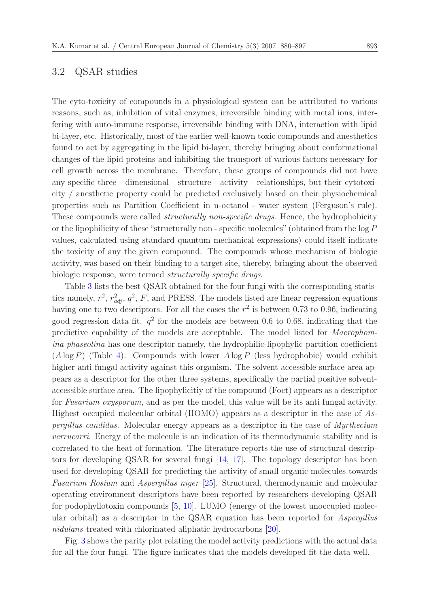# 3.2 QSAR studies

The cyto-toxicity of compounds in a physiological system can be attributed to various reasons, such as, inhibition of vital enzymes, irreversible binding with metal ions, interfering with auto-immune response, irreversible binding with DNA, interaction with lipid bi-layer, etc. Historically, most of the earlier well-known toxic compounds and anesthetics found to act by aggregating in the lipid bi-layer, thereby bringing about conformational changes of the lipid proteins and inhibiting the transport of various factors necessary for cell growth across the membrane. Therefore, these groups of compounds did not have any specific three - dimensional - structure - activity - relationships, but their cytotoxicity / anesthetic property could be predicted exclusively based on their physiochemical properties such as Partition Coefficient in n-octanol - water system (Ferguson's rule). These compounds were called *structurally non-specific drugs*. Hence, the hydrophobicity or the lipophilicity of these "structurally non - specific molecules" (obtained from the  $\log P$ values, calculated using standard quantum mechanical expressions) could itself indicate the toxicity of any the given compound. The compounds whose mechanism of biologic activity, was based on their binding to a target site, thereby, bringing about the observed biologic response, were termed *structurally specific drugs*.

Table [3](#page-14-0) lists the best QSAR obtained for the four fungi with the corresponding statistics namely,  $r^2$ ,  $r_{adj}^2$ ,  $q^2$ , F, and PRESS. The models listed are linear regression equations having one to two descriptors. For all the cases the  $r^2$  is between 0.73 to 0.96, indicating good regression data fit.  $q^2$  for the models are between 0.6 to 0.68, indicating that the predictive capability of the models are acceptable. The model listed for *Macrophomina phaseolina* has one descriptor namely, the hydrophilic-lipophylic partition coefficient  $(A \log P)$  (Table [4\)](#page-14-1). Compounds with lower  $A \log P$  (less hydrophobic) would exhibit higher anti-fungal activity against this organism. The solvent accessible surface area appears as a descriptor for the other three systems, specifically the partial positive solventaccessible surface area. The lipophylicitiy of the compound (Foct) appears as a descriptor for *Fusarium oxysporum*, and as per the model, this value will be its anti fungal activity. Highest occupied molecular orbital (HOMO) appears as a descriptor in the case of *Aspergillus candidus*. Molecular energy appears as a descriptor in the case of *Myrthecium verrucarri*. Energy of the molecule is an indication of its thermodynamic stability and is correlated to the heat of formation. The literature reports the use of structural descriptors for developing QSAR for several fungi [\[14,](#page-16-5) [17\]](#page-16-8). The topology descriptor has been used for developing QSAR for predicting the activity of small organic molecules towards *Fusarium Rosium* and *Aspergillus niger* [\[25\]](#page-17-0). Structural, thermodynamic and molecular operating environment descriptors have been reported by researchers developing QSAR for podophyllotoxin compounds [\[5,](#page-15-4) [10\]](#page-16-1). LUMO (energy of the lowest unoccupied molecular orbital) as a descriptor in the QSAR equation has been reported for *Aspergillus nidulans* treated with chlorinated aliphatic hydrocarbons [\[20\]](#page-16-11).

Fig. [3](#page-14-2) shows the parity plot relating the model activity predictions with the actual data for all the four fungi. The figure indicates that the models developed fit the data well.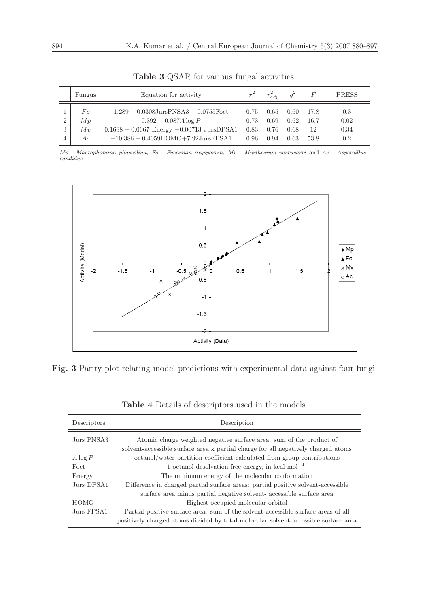|                | Fungus    | Equation for activity                                  |      | $r_{adi}^2$ | $q^2$ | $\,F$ | <b>PRESS</b> |
|----------------|-----------|--------------------------------------------------------|------|-------------|-------|-------|--------------|
|                | $F\sigma$ | $1.289 - 0.0308 \text{JursPNSA3} + 0.0755 \text{Foct}$ | 0.75 | 0.65        | 0.60  | 17.8  | 0.3          |
| $\overline{2}$ | Mp        | $0.392 - 0.087A \log P$                                | 0.73 | 0.69        | 0.62  | 16.7  | 0.02         |
| 3              | Mv        | $0.1698 + 0.0667$ Energy $-0.00713$ JursDPSA1          | 0.83 | 0.76        | 0.68  | 12    | 0.34         |
|                | Aс        | $-10.386 - 0.4059$ HOMO $+7.92$ JursFPSA1              | 0.96 | 0.94        | 0.63  | 53.8  | 0.2          |

<span id="page-14-0"></span>**Table 3** QSAR for various fungal activities.

*Mp - Macrophomina phaseolina, Fo - Fusarium oxysporum, Mv - Myrthecium verrucarri* and *Ac - Aspergillus candidus*

<span id="page-14-2"></span>

**Fig. 3** Parity plot relating model predictions with experimental data against four fungi.

| Descriptors | Description                                                                         |  |  |  |
|-------------|-------------------------------------------------------------------------------------|--|--|--|
| Jurs PNSA3  | Atomic charge weighted negative surface area: sum of the product of                 |  |  |  |
|             | solvent-accessible surface area x partial charge for all negatively charged atoms   |  |  |  |
| $A \log P$  | octanol/water partition coefficient-calculated from group contributions             |  |  |  |
| Foct        | 1-octanol desolvation free energy, in kcal $\text{mol}^{-1}$ .                      |  |  |  |
| Energy      | The minimum energy of the molecular conformation                                    |  |  |  |
| Jurs DPSA1  | Difference in charged partial surface areas: partial positive solvent-accessible    |  |  |  |
|             | surface area minus partial negative solvent- accessible surface area                |  |  |  |
| <b>HOMO</b> | Highest occupied molecular orbital                                                  |  |  |  |
| Jurs FPSA1  | Partial positive surface area: sum of the solvent-accessible surface areas of all   |  |  |  |
|             | positively charged atoms divided by total molecular solvent-accessible surface area |  |  |  |

<span id="page-14-1"></span>**Table 4** Details of descriptors used in the models.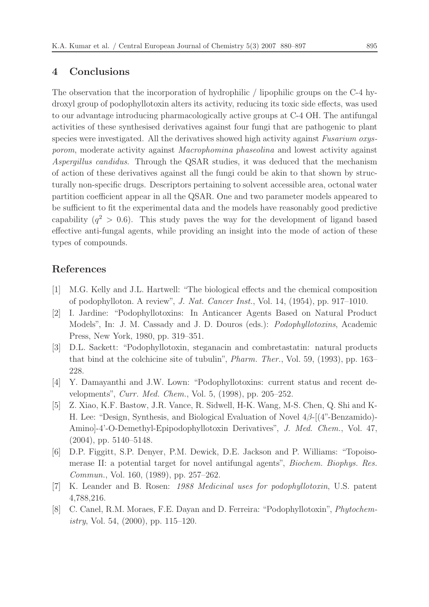### **4 Conclusions**

The observation that the incorporation of hydrophilic / lipophilic groups on the C-4 hydroxyl group of podophyllotoxin alters its activity, reducing its toxic side effects, was used to our advantage introducing pharmacologically active groups at C-4 OH. The antifungal activities of these synthesised derivatives against four fungi that are pathogenic to plant species were investigated. All the derivatives showed high activity against *Fusarium oxysporom*, moderate activity against *Macrophomina phaseolina* and lowest activity against *Aspergillus candidus*. Through the QSAR studies, it was deduced that the mechanism of action of these derivatives against all the fungi could be akin to that shown by structurally non-specific drugs. Descriptors pertaining to solvent accessible area, octonal water partition coefficient appear in all the QSAR. One and two parameter models appeared to be sufficient to fit the experimental data and the models have reasonably good predictive capability  $(q^2 > 0.6)$ . This study paves the way for the development of ligand based effective anti-fungal agents, while providing an insight into the mode of action of these types of compounds.

# **References**

- <span id="page-15-0"></span>[1] M.G. Kelly and J.L. Hartwell: "The biological effects and the chemical composition of podophylloton. A review", *J. Nat. Cancer Inst.*, Vol. 14, (1954), pp. 917–1010.
- <span id="page-15-1"></span>[2] I. Jardine: "Podophyllotoxins: In Anticancer Agents Based on Natural Product Models", In: J. M. Cassady and J. D. Douros (eds.): *Podophyllotoxins*, Academic Press, New York, 1980, pp. 319–351.
- <span id="page-15-2"></span>[3] D.L. Sackett: "Podophyllotoxin, steganacin and combretastatin: natural products that bind at the colchicine site of tubulin", *Pharm. Ther.*, Vol. 59, (1993), pp. 163– 228.
- <span id="page-15-3"></span>[4] Y. Damayanthi and J.W. Lown: "Podophyllotoxins: current status and recent developments", *Curr. Med. Chem.*, Vol. 5, (1998), pp. 205–252.
- <span id="page-15-4"></span>[5] Z. Xiao, K.F. Bastow, J.R. Vance, R. Sidwell, H-K. Wang, M-S. Chen, Q. Shi and K-H. Lee: "Design, Synthesis, and Biological Evaluation of Novel 4β-[(4"-Benzamido)- Amino]-4'-O-Demethyl-Epipodophyllotoxin Derivatives", *J. Med. Chem.*, Vol. 47, (2004), pp. 5140–5148.
- <span id="page-15-5"></span>[6] D.P. Figgitt, S.P. Denyer, P.M. Dewick, D.E. Jackson and P. Williams: "Topoisomerase II: a potential target for novel antifungal agents", *Biochem. Biophys. Res. Commun.*, Vol. 160, (1989), pp. 257–262.
- <span id="page-15-6"></span>[7] K. Leander and B. Rosen: *1988 Medicinal uses for podophyllotoxin*, U.S. patent 4,788,216.
- <span id="page-15-7"></span>[8] C. Canel, R.M. Moraes, F.E. Dayan and D. Ferreira: "Podophyllotoxin", *Phytochemistry*, Vol. 54, (2000), pp. 115–120.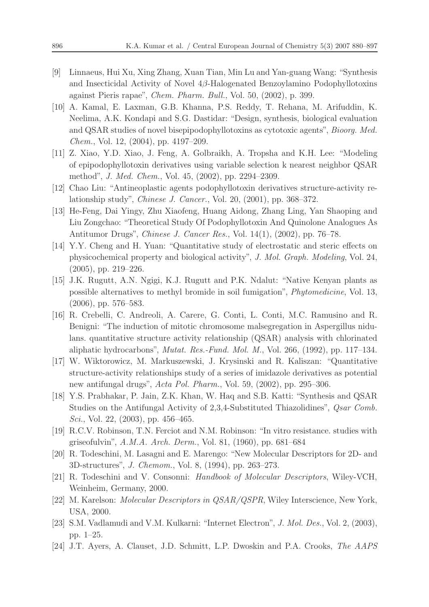- <span id="page-16-0"></span>[9] Linnaeus, Hui Xu, Xing Zhang, Xuan Tian, Min Lu and Yan-guang Wang: "Synthesis and Insecticidal Activity of Novel 4β-Halogenated Benzoylamino Podophyllotoxins against Pieris rapae", *Chem. Pharm. Bull.*, Vol. 50, (2002), p. 399.
- <span id="page-16-1"></span>[10] A. Kamal, E. Laxman, G.B. Khanna, P.S. Reddy, T. Rehana, M. Arifuddin, K. Neelima, A.K. Kondapi and S.G. Dastidar: "Design, synthesis, biological evaluation and QSAR studies of novel bisepipodophyllotoxins as cytotoxic agents", *Bioorg. Med. Chem.*, Vol. 12, (2004), pp. 4197–209.
- <span id="page-16-2"></span>[11] Z. Xiao, Y.D. Xiao, J. Feng, A. Golbraikh, A. Tropsha and K.H. Lee: "Modeling of epipodophyllotoxin derivatives using variable selection k nearest neighbor QSAR method", *J. Med. Chem.*, Vol. 45, (2002), pp. 2294–2309.
- <span id="page-16-3"></span>[12] Chao Liu: "Antineoplastic agents podophyllotoxin derivatives structure-activity relationship study", *Chinese J. Cancer.*, Vol. 20, (2001), pp. 368–372.
- <span id="page-16-4"></span>[13] He-Feng, Dai Yingy, Zhu Xiaofeng, Huang Aidong, Zhang Ling, Yan Shaoping and Liu Zongchao: "Theoretical Study Of Podophyllotoxin And Quinolone Analogues As Antitumor Drugs", *Chinese J. Cancer Res.*, Vol. 14(1), (2002), pp. 76–78.
- <span id="page-16-5"></span>[14] Y.Y. Cheng and H. Yuan: "Quantitative study of electrostatic and steric effects on physicochemical property and biological activity", *J. Mol. Graph. Modeling*, Vol. 24, (2005), pp. 219–226.
- <span id="page-16-6"></span>[15] J.K. Rugutt, A.N. Ngigi, K.J. Rugutt and P.K. Ndalut: "Native Kenyan plants as possible alternatives to methyl bromide in soil fumigation", *Phytomedicine*, Vol. 13, (2006), pp. 576–583.
- <span id="page-16-7"></span>[16] R. Crebelli, C. Andreoli, A. Carere, G. Conti, L. Conti, M.C. Ramusino and R. Benigni: "The induction of mitotic chromosome malsegregation in Aspergillus nidulans. quantitative structure activity relationship (QSAR) analysis with chlorinated aliphatic hydrocarbons", *Mutat. Res.-Fund. Mol. M.*, Vol. 266, (1992), pp. 117–134.
- <span id="page-16-8"></span>[17] W. Wiktorowicz, M. Markuszewski, J. Krysinski and R. Kaliszan: "Quantitative structure-activity relationships study of a series of imidazole derivatives as potential new antifungal drugs", *Acta Pol. Pharm.*, Vol. 59, (2002), pp. 295–306.
- <span id="page-16-9"></span>[18] Y.S. Prabhakar, P. Jain, Z.K. Khan, W. Haq and S.B. Katti: "Synthesis and QSAR Studies on the Antifungal Activity of 2,3,4-Substituted Thiazolidines", *Qsar Comb. Sci.*, Vol. 22, (2003), pp. 456–465.
- <span id="page-16-10"></span>[19] R.C.V. Robinson, T.N. Ferciot and N.M. Robinson: "In vitro resistance. studies with griseofulvin", *A.M.A. Arch. Derm.*, Vol. 81, (1960), pp. 681–684
- <span id="page-16-11"></span>[20] R. Todeschini, M. Lasagni and E. Marengo: "New Molecular Descriptors for 2D- and 3D-structures", *J. Chemom.*, Vol. 8, (1994), pp. 263–273.
- [21] R. Todeschini and V. Consonni: *Handbook of Molecular Descriptors*, Wiley-VCH, Weinheim, Germany, 2000.
- <span id="page-16-12"></span>[22] M. Karelson: *Molecular Descriptors in QSAR/QSPR*, Wiley Interscience, New York, USA, 2000.
- <span id="page-16-13"></span>[23] S.M. Vadlamudi and V.M. Kulkarni: "Internet Electron", *J. Mol. Des.*, Vol. 2, (2003), pp. 1–25.
- <span id="page-16-14"></span>[24] J.T. Ayers, A. Clauset, J.D. Schmitt, L.P. Dwoskin and P.A. Crooks, *The AAPS*